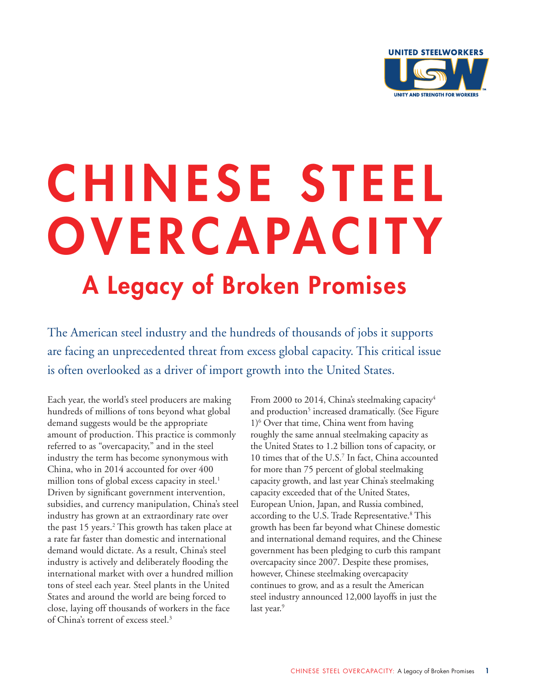

# CHINESE STEEL **OVERCAPACITY** A Legacy of Broken Promises

The American steel industry and the hundreds of thousands of jobs it supports are facing an unprecedented threat from excess global capacity. This critical issue is often overlooked as a driver of import growth into the United States.

Each year, the world's steel producers are making hundreds of millions of tons beyond what global demand suggests would be the appropriate amount of production. This practice is commonly referred to as "overcapacity," and in the steel industry the term has become synonymous with China, who in 2014 accounted for over 400 million tons of global excess capacity in steel. $<sup>1</sup>$ </sup> Driven by significant government intervention, subsidies, and currency manipulation, China's steel industry has grown at an extraordinary rate over the past 15 years.<sup>2</sup> This growth has taken place at a rate far faster than domestic and international demand would dictate. As a result, China's steel industry is actively and deliberately flooding the international market with over a hundred million tons of steel each year. Steel plants in the United States and around the world are being forced to close, laying off thousands of workers in the face of China's torrent of excess steel.3

From 2000 to 2014, China's steelmaking capacity<sup>4</sup> and production<sup>5</sup> increased dramatically. (See Figure 1)6 Over that time, China went from having roughly the same annual steelmaking capacity as the United States to 1.2 billion tons of capacity, or 10 times that of the U.S.7 In fact, China accounted for more than 75 percent of global steelmaking capacity growth, and last year China's steelmaking capacity exceeded that of the United States, European Union, Japan, and Russia combined, according to the U.S. Trade Representative.<sup>8</sup> This growth has been far beyond what Chinese domestic and international demand requires, and the Chinese government has been pledging to curb this rampant overcapacity since 2007. Despite these promises, however, Chinese steelmaking overcapacity continues to grow, and as a result the American steel industry announced 12,000 layoffs in just the last year.<sup>9</sup>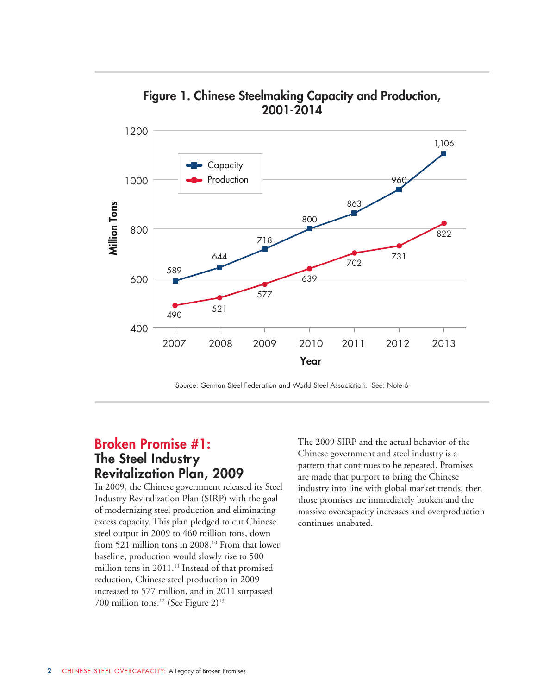

Figure 1. Chinese Steelmaking Capacity and Production, 2001-2014

Source: German Steel Federation and World Steel Association. See: Note 6

### Broken Promise #1: The Steel Industry Revitalization Plan, 2009

In 2009, the Chinese government released its Steel Industry Revitalization Plan (SIRP) with the goal of modernizing steel production and eliminating excess capacity. This plan pledged to cut Chinese steel output in 2009 to 460 million tons, down from 521 million tons in 2008.<sup>10</sup> From that lower baseline, production would slowly rise to 500 million tons in 2011.<sup>11</sup> Instead of that promised reduction, Chinese steel production in 2009 increased to 577 million, and in 2011 surpassed 700 million tons.12 (See Figure 2)13

The 2009 SIRP and the actual behavior of the Chinese government and steel industry is a pattern that continues to be repeated. Promises are made that purport to bring the Chinese industry into line with global market trends, then those promises are immediately broken and the massive overcapacity increases and overproduction continues unabated.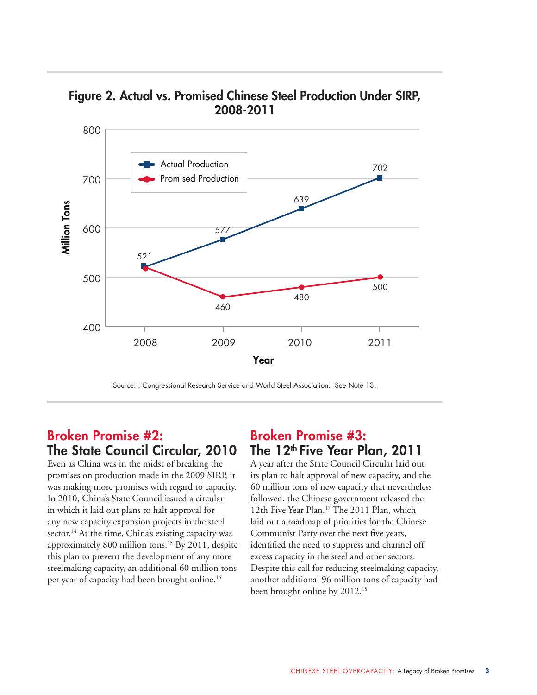

Figure 2. Actual vs. Promised Chinese Steel Production Under SIRP, 2008-2011

Source: : Congressional Research Service and World Steel Association. See Note 13.

#### Broken Promise #2: The State Council Circular, 2010

Even as China was in the midst of breaking the promises on production made in the 2009 SIRP, it was making more promises with regard to capacity. In 2010, China's State Council issued a circular in which it laid out plans to halt approval for any new capacity expansion projects in the steel sector.<sup>14</sup> At the time, China's existing capacity was approximately 800 million tons.15 By 2011, despite this plan to prevent the development of any more steelmaking capacity, an additional 60 million tons per year of capacity had been brought online.16

#### Broken Promise #3: The 12<sup>th</sup> Five Year Plan, 2011

A year after the State Council Circular laid out its plan to halt approval of new capacity, and the 60 million tons of new capacity that nevertheless followed, the Chinese government released the 12th Five Year Plan.<sup>17</sup> The 2011 Plan, which laid out a roadmap of priorities for the Chinese Communist Party over the next five years, identified the need to suppress and channel off excess capacity in the steel and other sectors. Despite this call for reducing steelmaking capacity, another additional 96 million tons of capacity had been brought online by 2012.<sup>18</sup>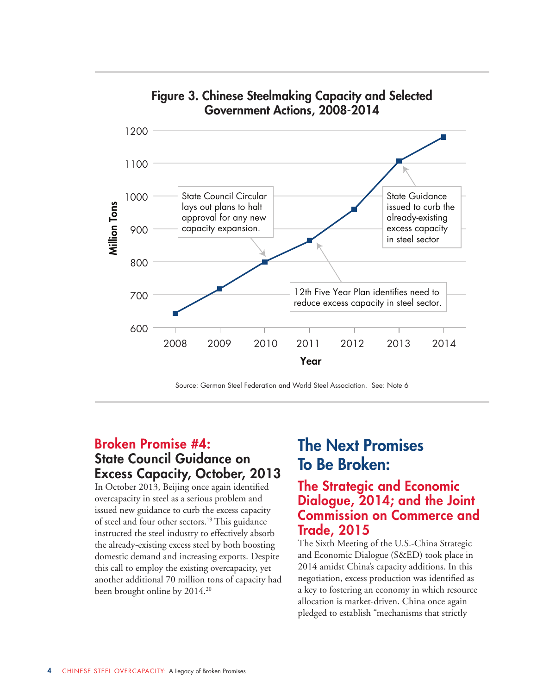

Figure 3. Chinese Steelmaking Capacity and Selected Government Actions, 2008-2014

Source: German Steel Federation and World Steel Association. See: Note 6

### Broken Promise #4: State Council Guidance on Excess Capacity, October, 2013

In October 2013, Beijing once again identified overcapacity in steel as a serious problem and issued new guidance to curb the excess capacity of steel and four other sectors.<sup>19</sup> This guidance instructed the steel industry to effectively absorb the already-existing excess steel by both boosting domestic demand and increasing exports. Despite this call to employ the existing overcapacity, yet another additional 70 million tons of capacity had been brought online by 2014.<sup>20</sup>

# The Next Promises To Be Broken:

#### The Strategic and Economic Dialogue, 2014; and the Joint Commission on Commerce and Trade, 2015

The Sixth Meeting of the U.S.-China Strategic and Economic Dialogue (S&ED) took place in 2014 amidst China's capacity additions. In this negotiation, excess production was identified as a key to fostering an economy in which resource allocation is market-driven. China once again pledged to establish "mechanisms that strictly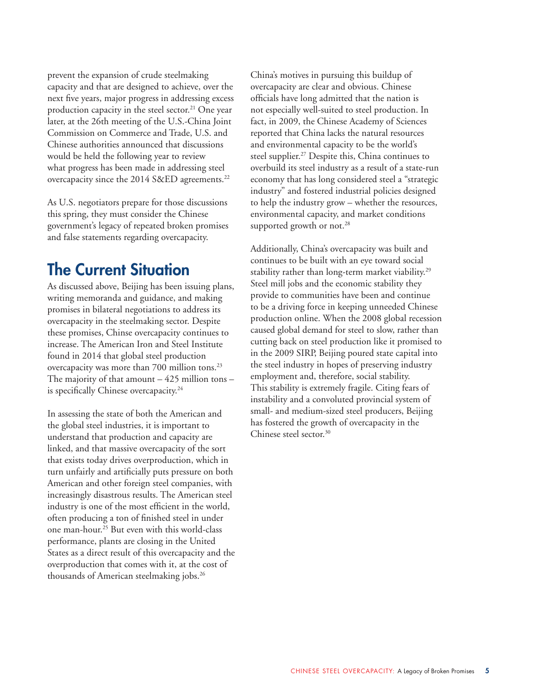prevent the expansion of crude steelmaking capacity and that are designed to achieve, over the next five years, major progress in addressing excess production capacity in the steel sector.<sup>21</sup> One year later, at the 26th meeting of the U.S.-China Joint Commission on Commerce and Trade, U.S. and Chinese authorities announced that discussions would be held the following year to review what progress has been made in addressing steel overcapacity since the 2014 S&ED agreements.<sup>22</sup>

As U.S. negotiators prepare for those discussions this spring, they must consider the Chinese government's legacy of repeated broken promises and false statements regarding overcapacity.

## The Current Situation

As discussed above, Beijing has been issuing plans, writing memoranda and guidance, and making promises in bilateral negotiations to address its overcapacity in the steelmaking sector. Despite these promises, Chinse overcapacity continues to increase. The American Iron and Steel Institute found in 2014 that global steel production overcapacity was more than 700 million tons.23 The majority of that amount  $-425$  million tons  $$ is specifically Chinese overcapacity.<sup>24</sup>

In assessing the state of both the American and the global steel industries, it is important to understand that production and capacity are linked, and that massive overcapacity of the sort that exists today drives overproduction, which in turn unfairly and artificially puts pressure on both American and other foreign steel companies, with increasingly disastrous results. The American steel industry is one of the most efficient in the world, often producing a ton of finished steel in under one man-hour.25 But even with this world-class performance, plants are closing in the United States as a direct result of this overcapacity and the overproduction that comes with it, at the cost of thousands of American steelmaking jobs.<sup>26</sup>

China's motives in pursuing this buildup of overcapacity are clear and obvious. Chinese officials have long admitted that the nation is not especially well-suited to steel production. In fact, in 2009, the Chinese Academy of Sciences reported that China lacks the natural resources and environmental capacity to be the world's steel supplier.<sup>27</sup> Despite this, China continues to overbuild its steel industry as a result of a state-run economy that has long considered steel a "strategic industry" and fostered industrial policies designed to help the industry grow – whether the resources, environmental capacity, and market conditions supported growth or not.<sup>28</sup>

Additionally, China's overcapacity was built and continues to be built with an eye toward social stability rather than long-term market viability.<sup>29</sup> Steel mill jobs and the economic stability they provide to communities have been and continue to be a driving force in keeping unneeded Chinese production online. When the 2008 global recession caused global demand for steel to slow, rather than cutting back on steel production like it promised to in the 2009 SIRP, Beijing poured state capital into the steel industry in hopes of preserving industry employment and, therefore, social stability. This stability is extremely fragile. Citing fears of instability and a convoluted provincial system of small- and medium-sized steel producers, Beijing has fostered the growth of overcapacity in the Chinese steel sector.<sup>30</sup>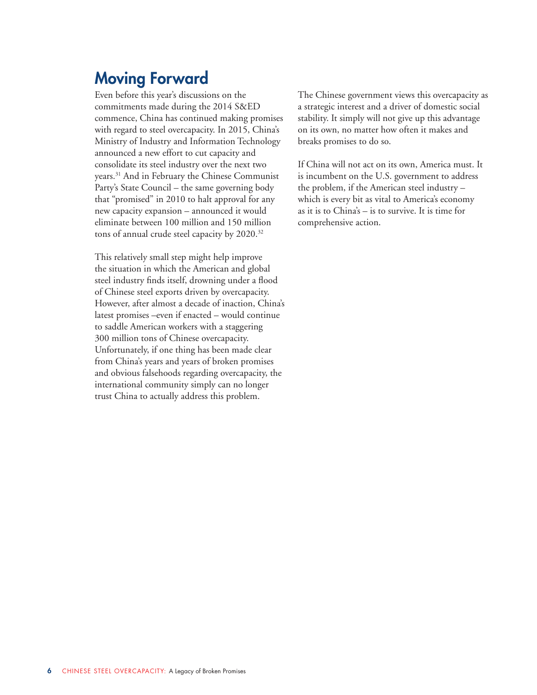## Moving Forward

Even before this year's discussions on the commitments made during the 2014 S&ED commence, China has continued making promises with regard to steel overcapacity. In 2015, China's Ministry of Industry and Information Technology announced a new effort to cut capacity and consolidate its steel industry over the next two years.31 And in February the Chinese Communist Party's State Council – the same governing body that "promised" in 2010 to halt approval for any new capacity expansion – announced it would eliminate between 100 million and 150 million tons of annual crude steel capacity by 2020.32

This relatively small step might help improve the situation in which the American and global steel industry finds itself, drowning under a flood of Chinese steel exports driven by overcapacity. However, after almost a decade of inaction, China's latest promises –even if enacted – would continue to saddle American workers with a staggering 300 million tons of Chinese overcapacity. Unfortunately, if one thing has been made clear from China's years and years of broken promises and obvious falsehoods regarding overcapacity, the international community simply can no longer trust China to actually address this problem.

The Chinese government views this overcapacity as a strategic interest and a driver of domestic social stability. It simply will not give up this advantage on its own, no matter how often it makes and breaks promises to do so.

If China will not act on its own, America must. It is incumbent on the U.S. government to address the problem, if the American steel industry – which is every bit as vital to America's economy as it is to China's – is to survive. It is time for comprehensive action.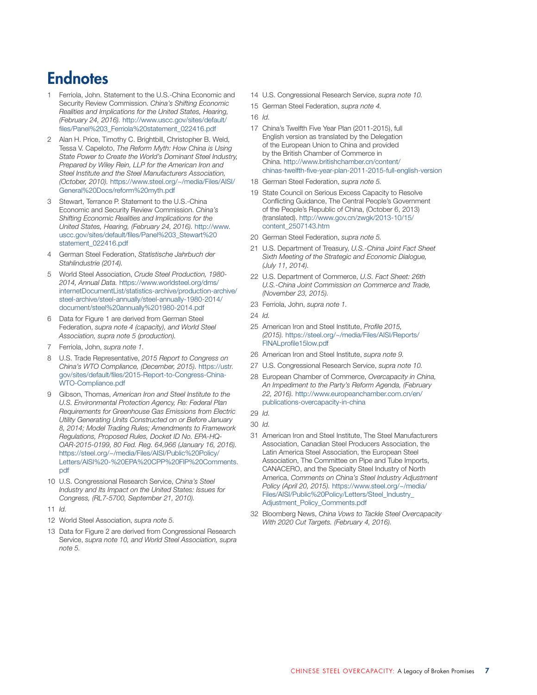## **Endnotes**

- Ferriola, John. Statement to the U.S.-China Economic and Security Review Commission. *China's Shifting Economic Realities and Implications for the United States, Hearing, (February 24, 2016).* [http://www.uscc.gov/sites/default/](http://www.uscc.gov/sites/default/files/Panel%203_Ferriola%20statement_022416.pdf) [files/Panel%203\\_Ferriola%20statement\\_022416.pdf](http://www.uscc.gov/sites/default/files/Panel%203_Ferriola%20statement_022416.pdf)
- 2 Alan H. Price, Timothy C. Brightbill, Christopher B. Weld, Tessa V. Capeloto, *The Reform Myth: How China is Using State Power to Create the World's Dominant Steel Industry, Prepared by Wiley Rein, LLP for the American Iron and Steel Institute and the Steel Manufacturers Association, (October, 2010).* [https://www.steel.org/~/media/Files/AISI/](https://www.steel.org/~/media/Files/AISI/General%20Docs/reform%20myth.pdf) [General%20Docs/reform%20myth.pdf](https://www.steel.org/~/media/Files/AISI/General%20Docs/reform%20myth.pdf)
- Stewart, Terrance P. Statement to the U.S.-China Economic and Security Review Commission. *China's Shifting Economic Realities and Implications for the United States, Hearing, (February 24, 2016).* [http://www.](http://www.uscc.gov/sites/default/files/Panel%203_Stewart%20statement_022416.pdf) [uscc.gov/sites/default/files/Panel%203\\_Stewart%20](http://www.uscc.gov/sites/default/files/Panel%203_Stewart%20statement_022416.pdf) [statement\\_022416.pdf](http://www.uscc.gov/sites/default/files/Panel%203_Stewart%20statement_022416.pdf)
- 4 German Steel Federation, *Statistische Jahrbuch der Stahlindustrie (2014).*
- 5 World Steel Association, *Crude Steel Production, 1980- 2014, Annual Data.* [https://www.worldsteel.org/dms/](https://www.worldsteel.org/dms/internetDocumentList/statistics-archive/production-archive/steel-archive/steel-annually/steel-annually-1980-2014/document/steel%20annually%201980-2014.pdf) [internetDocumentList/statistics-archive/production-archive/](https://www.worldsteel.org/dms/internetDocumentList/statistics-archive/production-archive/steel-archive/steel-annually/steel-annually-1980-2014/document/steel%20annually%201980-2014.pdf) [steel-archive/steel-annually/steel-annually-1980-2014/](https://www.worldsteel.org/dms/internetDocumentList/statistics-archive/production-archive/steel-archive/steel-annually/steel-annually-1980-2014/document/steel%20annually%201980-2014.pdf) [document/steel%20annually%201980-2014.pdf](https://www.worldsteel.org/dms/internetDocumentList/statistics-archive/production-archive/steel-archive/steel-annually/steel-annually-1980-2014/document/steel%20annually%201980-2014.pdf)
- 6 Data for Figure 1 are derived from German Steel Federation, *supra note 4 (capacity), and World Steel Association, supra note 5 (production).*
- 7 Ferriola, John, *supra note 1.*
- 8 U.S. Trade Representative, *2015 Report to Congress on China's WTO Compliance, (December, 2015).* [https://ustr.](https://ustr.gov/sites/default/files/2015-Report-to-Congress-China-WTO-Compliance.pdf) [gov/sites/default/files/2015-Report-to-Congress-China-](https://ustr.gov/sites/default/files/2015-Report-to-Congress-China-WTO-Compliance.pdf)[WTO-Compliance.pdf](https://ustr.gov/sites/default/files/2015-Report-to-Congress-China-WTO-Compliance.pdf)
- 9 Gibson, Thomas, *American Iron and Steel Institute to the U.S. Environmental Protection Agency, Re: Federal Plan Requirements for Greenhouse Gas Emissions from Electric Utility Generating Units Constructed on or Before January 8, 2014; Model Trading Rules; Amendments to Framework Regulations, Proposed Rules, Docket ID No. EPA-HQ-OAR-2015-0199, 80 Fed. Reg. 64,966 (January 16, 2016).*  [https://steel.org/~/media/Files/AISI/Public%20Policy/](https://steel.org/~/media/Files/AISI/Public%20Policy/Letters/AISI%20-%20EPA%20CPP%20FIP%20Comments.pdf) [Letters/AISI%20-%20EPA%20CPP%20FIP%20Comments.](https://steel.org/~/media/Files/AISI/Public%20Policy/Letters/AISI%20-%20EPA%20CPP%20FIP%20Comments.pdf) [pdf](https://steel.org/~/media/Files/AISI/Public%20Policy/Letters/AISI%20-%20EPA%20CPP%20FIP%20Comments.pdf)
- 10 U.S. Congressional Research Service, *China's Steel Industry and Its Impact on the United States: Issues for Congress, (RL7-5700, September 21, 2010).*
- 11 *Id.*
- 12 World Steel Association, *supra note 5.*
- 13 Data for Figure 2 are derived from Congressional Research Service, *supra note 10, and World Steel Association, supra note 5.*
- 14 U.S. Congressional Research Service, *supra note 10.*
- 15 German Steel Federation, *supra note 4.*
- 16 *Id.*
- 17 China's Twelfth Five Year Plan (2011-2015), full English version as translated by the Delegation of the European Union to China and provided by the British Chamber of Commerce in China. [http://www.britishchamber.cn/content/](http://www.britishchamber.cn/content/chinas-twelfth-five-year-plan-2011-2015-full-english-version) [chinas-twelfth-five-year-plan-2011-2015-full-english-version](http://www.britishchamber.cn/content/chinas-twelfth-five-year-plan-2011-2015-full-english-version)
- 18 German Steel Federation, *supra note 5.*
- 19 State Council on Serious Excess Capacity to Resolve Conflicting Guidance, The Central People's Government of the People's Republic of China, (October 6, 2013) (translated). [http://www.gov.cn/zwgk/2013-10/15/](http://www.gov.cn/zwgk/2013-10/15/content_2507143.htm) [content\\_2507143.htm](http://www.gov.cn/zwgk/2013-10/15/content_2507143.htm)
- 20 German Steel Federation, *supra note 5.*
- 21 U.S. Department of Treasury, *U.S.-China Joint Fact Sheet Sixth Meeting of the Strategic and Economic Dialogue, (July 11, 2014).*
- 22 U.S. Department of Commerce, *U.S. Fact Sheet: 26th U.S.-China Joint Commission on Commerce and Trade, (November 23, 2015).*
- 23 Ferriola, John, *supra note 1.*
- 24 *Id.*
- 25 American Iron and Steel Institute, *Profile 2015, (2015).* [https://steel.org/~/media/Files/AISI/Reports/](https://steel.org/~/media/Files/AISI/Reports/FINALprofile15low.pdf) [FINALprofile15low.pdf](https://steel.org/~/media/Files/AISI/Reports/FINALprofile15low.pdf)
- 26 American Iron and Steel Institute, *supra note 9.*
- 27 U.S. Congressional Research Service, *supra note 10.*
- 28 European Chamber of Commerce, *Overcapacity in China, An Impediment to the Party's Reform Agenda, (February 22, 2016).* [http://www.europeanchamber.com.cn/en/](http://www.europeanchamber.com.cn/en/publications-overcapacity-in-china) [publications-overcapacity-in-china](http://www.europeanchamber.com.cn/en/publications-overcapacity-in-china)
- 29 *Id.*
- 30 *Id.*
- 31 American Iron and Steel Institute, The Steel Manufacturers Association, Canadian Steel Producers Association, the Latin America Steel Association, the European Steel Association, The Committee on Pipe and Tube Imports, CANACERO, and the Specialty Steel Industry of North America, *Comments on China's Steel Industry Adjustment Policy (April 20, 2015).* [https://www.steel.org/~/media/](https://www.steel.org/~/media/Files/AISI/Public%20Policy/Letters/Steel_Industry_Adjustment_Policy_Comments.pdf) [Files/AISI/Public%20Policy/Letters/Steel\\_Industry\\_](https://www.steel.org/~/media/Files/AISI/Public%20Policy/Letters/Steel_Industry_Adjustment_Policy_Comments.pdf) [Adjustment\\_Policy\\_Comments.pdf](https://www.steel.org/~/media/Files/AISI/Public%20Policy/Letters/Steel_Industry_Adjustment_Policy_Comments.pdf)
- 32 Bloomberg News, *China Vows to Tackle Steel Overcapacity With 2020 Cut Targets. (February 4, 2016).*